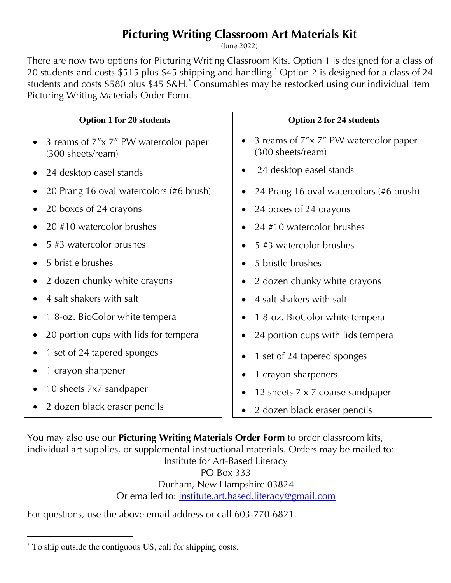## **Picturing Writing Classroom Art Materials Kit**

(June 2022)

There are now two options for Picturing Writing Classroom Kits. Option 1 is designed for a class of 20 students and costs \$515 plus \$45 shipping and handling.\* Option 2 is designed for a class of 24 students and costs \$580 plus \$45 S&H.\* Consumables may be restocked using our individual item Picturing Writing Materials Order Form.

| <b>Option 1 for 20 students</b>                            | <b>Option 2 for 24 students</b>                            |
|------------------------------------------------------------|------------------------------------------------------------|
| 3 reams of 7"x 7" PW watercolor paper<br>(300 sheets/ream) | 3 reams of 7"x 7" PW watercolor paper<br>(300 sheets/ream) |
| 24 desktop easel stands                                    | 24 desktop easel stands<br>$\bullet$                       |
| 20 Prang 16 oval watercolors (#6 brush)                    | 24 Prang 16 oval watercolors (#6 brush)<br>$\bullet$       |
| 20 boxes of 24 crayons                                     | 24 boxes of 24 crayons<br>$\bullet$                        |
| 20 #10 watercolor brushes                                  | 24 #10 watercolor brushes                                  |
| 5 #3 watercolor brushes                                    | 5 #3 watercolor brushes<br>$\bullet$                       |
| 5 bristle brushes                                          | 5 bristle brushes<br>$\bullet$                             |
| 2 dozen chunky white crayons                               | 2 dozen chunky white crayons<br>$\bullet$                  |
| 4 salt shakers with salt                                   | 4 salt shakers with salt<br>$\bullet$                      |
| 1 8-oz. BioColor white tempera                             | 18-oz. BioColor white tempera                              |
| 20 portion cups with lids for tempera                      | 24 portion cups with lids tempera                          |
| 1 set of 24 tapered sponges                                | 1 set of 24 tapered sponges                                |
| 1 crayon sharpener                                         | 1 crayon sharpeners                                        |
| 10 sheets 7x7 sandpaper                                    | 12 sheets 7 x 7 coarse sandpaper                           |
| 2 dozen black eraser pencils                               | 2 dozen black eraser pencils                               |

You may also use our **Picturing Writing Materials Order Form** to order classroom kits, individual art supplies, or supplemental instructional materials. Orders may be mailed to: Institute for Art-Based Literacy PO Box 333 Durham, New Hampshire 03824 Or emailed to: institute.art.based.literacy@gmail.com

For questions, use the above email address or call 603-770-6821.

 <sup>\*</sup> To ship outside the contiguous US, call for shipping costs.